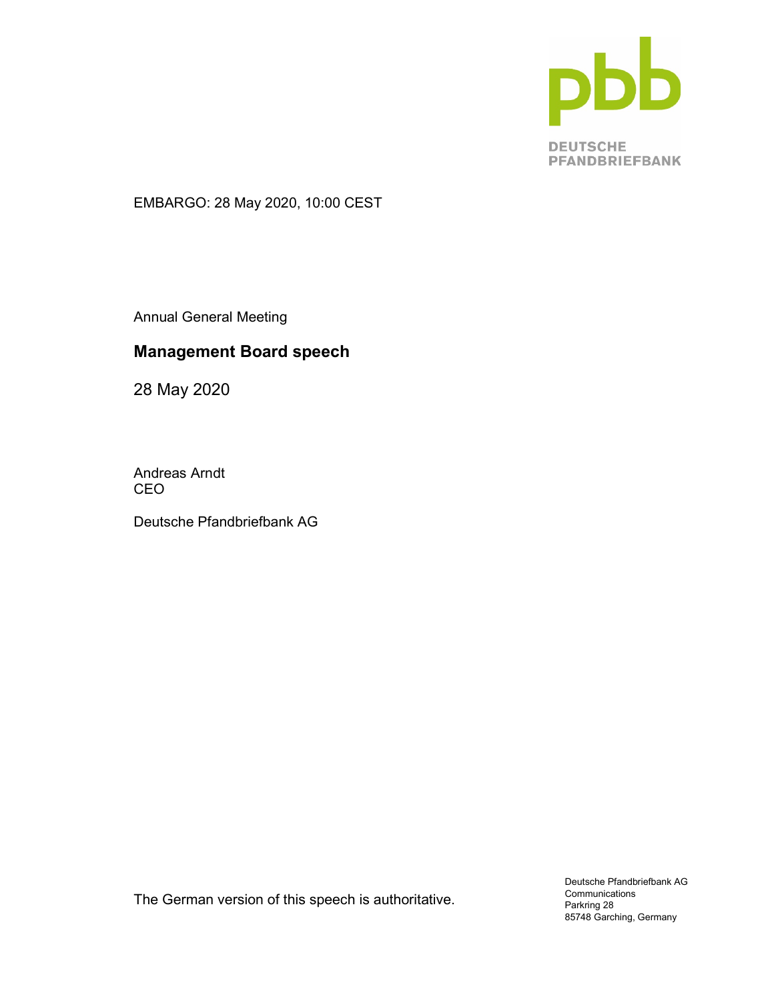

EMBARGO: 28 May 2020, 10:00 CEST

Annual General Meeting

# Management Board speech

28 May 2020

Andreas Arndt CEO

Deutsche Pfandbriefbank AG

The German version of this speech is authoritative.

Deutsche Pfandbriefbank AG Communications Parkring 28 85748 Garching, Germany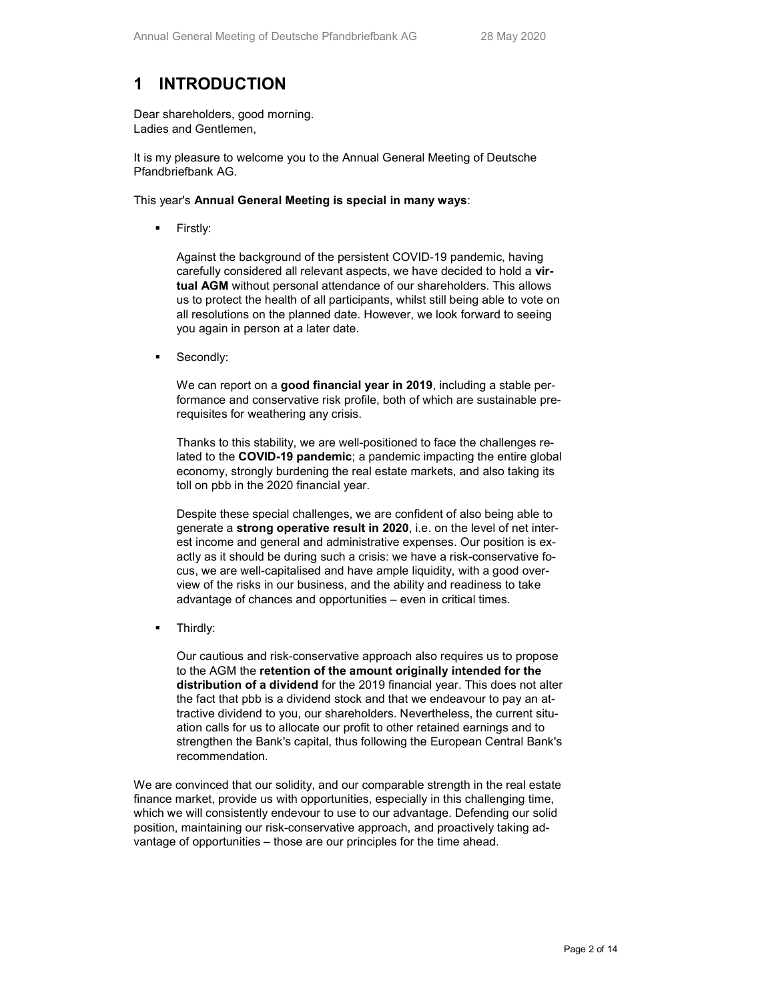# 1 INTRODUCTION

Dear shareholders, good morning. Ladies and Gentlemen,

It is my pleasure to welcome you to the Annual General Meeting of Deutsche Pfandbriefbank AG.

This year's Annual General Meeting is special in many ways:

Firstly:

Against the background of the persistent COVID-19 pandemic, having carefully considered all relevant aspects, we have decided to hold a virtual AGM without personal attendance of our shareholders. This allows us to protect the health of all participants, whilst still being able to vote on all resolutions on the planned date. However, we look forward to seeing you again in person at a later date.

Secondly:

We can report on a good financial year in 2019, including a stable performance and conservative risk profile, both of which are sustainable prerequisites for weathering any crisis.

Thanks to this stability, we are well-positioned to face the challenges related to the COVID-19 pandemic; a pandemic impacting the entire global economy, strongly burdening the real estate markets, and also taking its toll on pbb in the 2020 financial year.

Despite these special challenges, we are confident of also being able to generate a strong operative result in 2020, i.e. on the level of net interest income and general and administrative expenses. Our position is exactly as it should be during such a crisis: we have a risk-conservative focus, we are well-capitalised and have ample liquidity, with a good overview of the risks in our business, and the ability and readiness to take advantage of chances and opportunities – even in critical times.

Thirdly:

Our cautious and risk-conservative approach also requires us to propose to the AGM the retention of the amount originally intended for the distribution of a dividend for the 2019 financial year. This does not alter the fact that pbb is a dividend stock and that we endeavour to pay an attractive dividend to you, our shareholders. Nevertheless, the current situation calls for us to allocate our profit to other retained earnings and to strengthen the Bank's capital, thus following the European Central Bank's recommendation.

We are convinced that our solidity, and our comparable strength in the real estate finance market, provide us with opportunities, especially in this challenging time, which we will consistently endevour to use to our advantage. Defending our solid position, maintaining our risk-conservative approach, and proactively taking advantage of opportunities – those are our principles for the time ahead.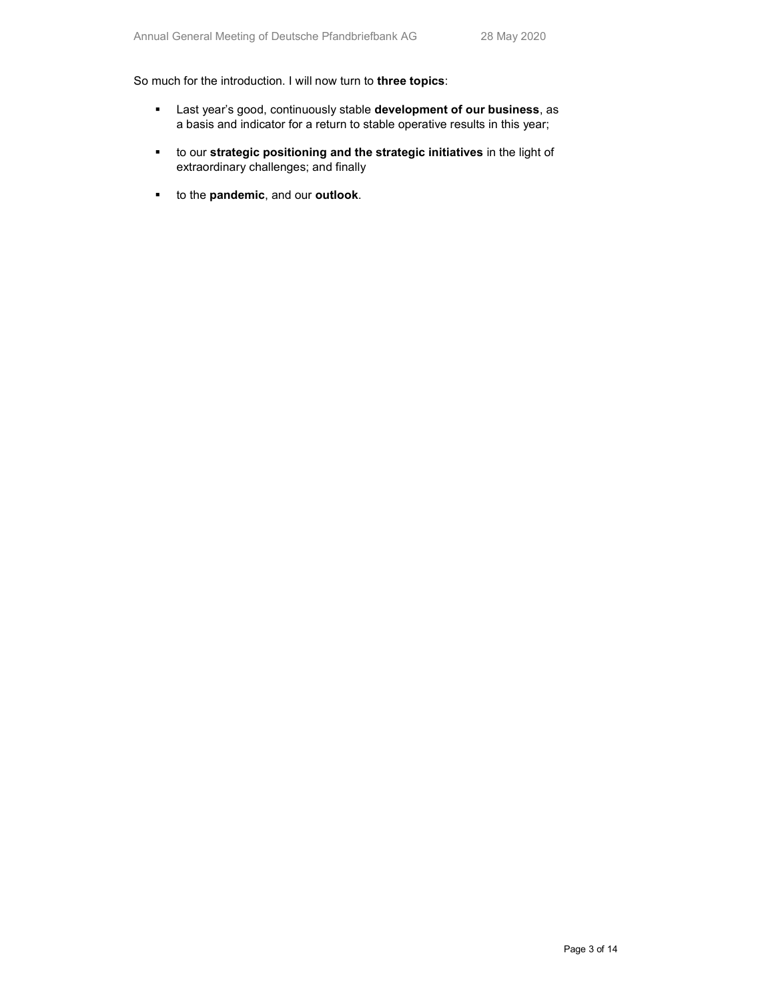So much for the introduction. I will now turn to three topics:

- **EXECT:** Last year's good, continuously stable **development of our business**, as a basis and indicator for a return to stable operative results in this year;
- to our strategic positioning and the strategic initiatives in the light of extraordinary challenges; and finally
- to the **pandemic**, and our **outlook**.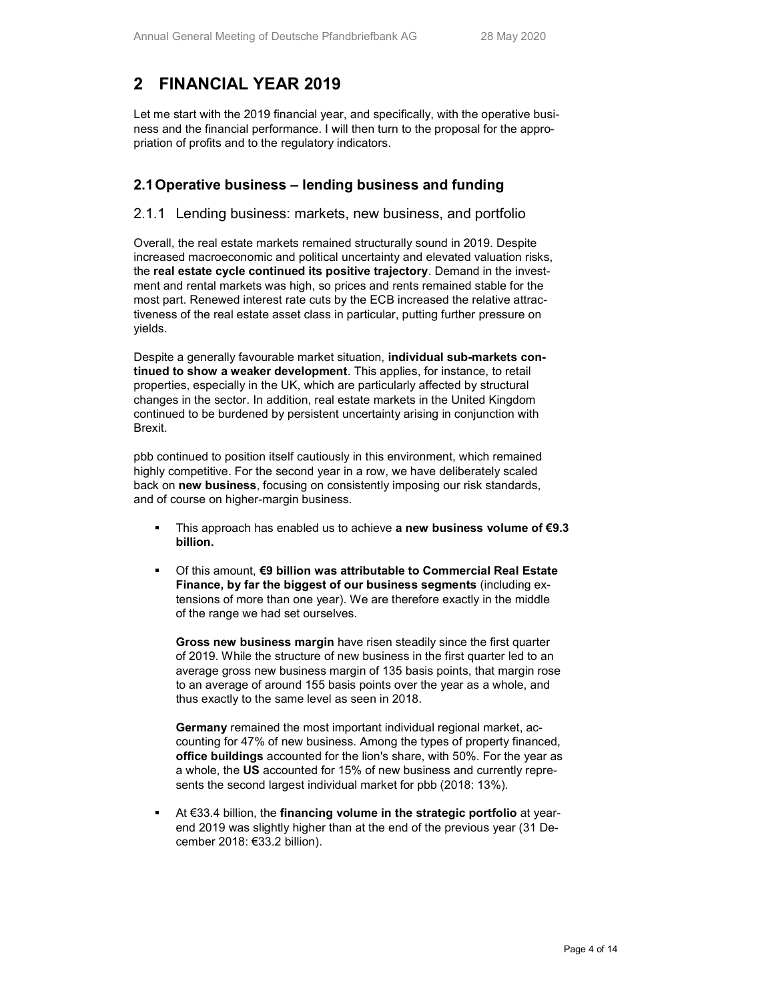# 2 FINANCIAL YEAR 2019

Let me start with the 2019 financial year, and specifically, with the operative business and the financial performance. I will then turn to the proposal for the appropriation of profits and to the regulatory indicators.

## 2.1 Operative business – lending business and funding

#### 2.1.1 Lending business: markets, new business, and portfolio

Overall, the real estate markets remained structurally sound in 2019. Despite increased macroeconomic and political uncertainty and elevated valuation risks, the real estate cycle continued its positive trajectory. Demand in the investment and rental markets was high, so prices and rents remained stable for the most part. Renewed interest rate cuts by the ECB increased the relative attractiveness of the real estate asset class in particular, putting further pressure on yields.

Despite a generally favourable market situation, **individual sub-markets con**tinued to show a weaker development. This applies, for instance, to retail properties, especially in the UK, which are particularly affected by structural changes in the sector. In addition, real estate markets in the United Kingdom continued to be burdened by persistent uncertainty arising in conjunction with Brexit.

pbb continued to position itself cautiously in this environment, which remained highly competitive. For the second year in a row, we have deliberately scaled back on new business, focusing on consistently imposing our risk standards, and of course on higher-margin business.

- This approach has enabled us to achieve a new business volume of €9.3 billion.
- Of this amount, €9 billion was attributable to Commercial Real Estate Finance, by far the biggest of our business segments (including extensions of more than one year). We are therefore exactly in the middle of the range we had set ourselves.

Gross new business margin have risen steadily since the first quarter of 2019. While the structure of new business in the first quarter led to an average gross new business margin of 135 basis points, that margin rose to an average of around 155 basis points over the year as a whole, and thus exactly to the same level as seen in 2018.

Germany remained the most important individual regional market, accounting for 47% of new business. Among the types of property financed, office buildings accounted for the lion's share, with 50%. For the year as a whole, the US accounted for 15% of new business and currently represents the second largest individual market for pbb (2018: 13%).

 At €33.4 billion, the financing volume in the strategic portfolio at yearend 2019 was slightly higher than at the end of the previous year (31 December 2018: €33.2 billion).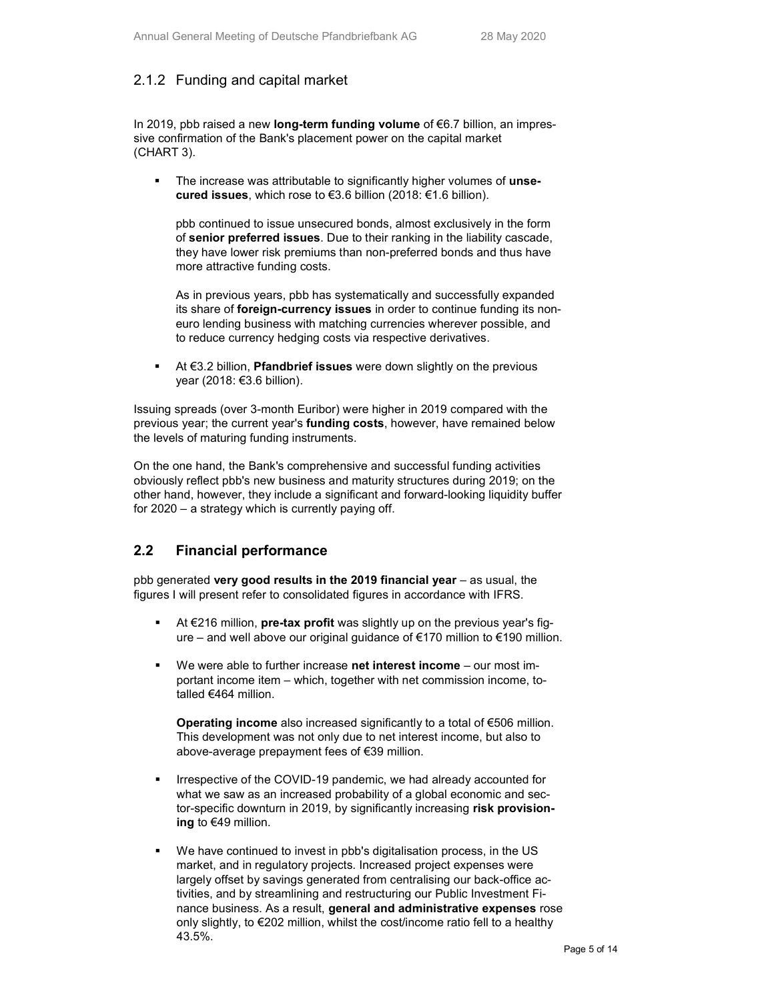## 2.1.2 Funding and capital market

In 2019, pbb raised a new long-term funding volume of €6.7 billion, an impressive confirmation of the Bank's placement power on the capital market (CHART 3).

The increase was attributable to significantly higher volumes of unsecured issues, which rose to €3.6 billion (2018: €1.6 billion).

pbb continued to issue unsecured bonds, almost exclusively in the form of senior preferred issues. Due to their ranking in the liability cascade, they have lower risk premiums than non-preferred bonds and thus have more attractive funding costs.

As in previous years, pbb has systematically and successfully expanded its share of foreign-currency issues in order to continue funding its noneuro lending business with matching currencies wherever possible, and to reduce currency hedging costs via respective derivatives.

■ At €3.2 billion, **Pfandbrief issues** were down slightly on the previous year (2018: €3.6 billion).

Issuing spreads (over 3-month Euribor) were higher in 2019 compared with the previous year; the current year's **funding costs**, however, have remained below the levels of maturing funding instruments.

On the one hand, the Bank's comprehensive and successful funding activities obviously reflect pbb's new business and maturity structures during 2019; on the other hand, however, they include a significant and forward-looking liquidity buffer for 2020 – a strategy which is currently paying off.

### 2.2 Financial performance

pbb generated very good results in the 2019 financial year  $-$  as usual, the figures I will present refer to consolidated figures in accordance with IFRS.

- At €216 million, **pre-tax profit** was slightly up on the previous year's figure – and well above our original guidance of €170 million to €190 million.
- We were able to further increase net interest income our most important income item – which, together with net commission income, totalled €464 million.

Operating income also increased significantly to a total of €506 million. This development was not only due to net interest income, but also to above-average prepayment fees of €39 million.

- Irrespective of the COVID-19 pandemic, we had already accounted for what we saw as an increased probability of a global economic and sector-specific downturn in 2019, by significantly increasing risk provisioning to €49 million.
- We have continued to invest in pbb's digitalisation process, in the US market, and in regulatory projects. Increased project expenses were largely offset by savings generated from centralising our back-office activities, and by streamlining and restructuring our Public Investment Finance business. As a result, general and administrative expenses rose only slightly, to €202 million, whilst the cost/income ratio fell to a healthy 43.5%.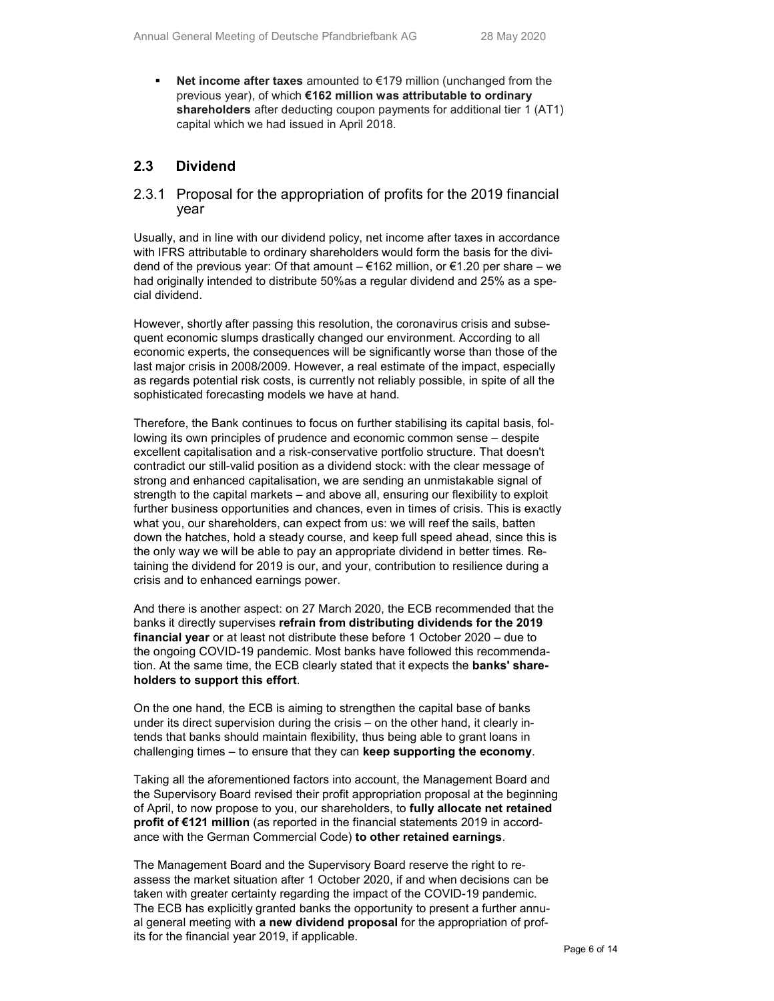Net income after taxes amounted to  $E$ 179 million (unchanged from the previous year), of which €162 million was attributable to ordinary shareholders after deducting coupon payments for additional tier 1 (AT1) capital which we had issued in April 2018.

### 2.3 Dividend

#### 2.3.1 Proposal for the appropriation of profits for the 2019 financial year

Usually, and in line with our dividend policy, net income after taxes in accordance with IFRS attributable to ordinary shareholders would form the basis for the dividend of the previous year: Of that amount  $- \epsilon$ 162 million, or  $\epsilon$ 1.20 per share – we had originally intended to distribute 50%as a regular dividend and 25% as a special dividend.

However, shortly after passing this resolution, the coronavirus crisis and subsequent economic slumps drastically changed our environment. According to all economic experts, the consequences will be significantly worse than those of the last major crisis in 2008/2009. However, a real estimate of the impact, especially as regards potential risk costs, is currently not reliably possible, in spite of all the sophisticated forecasting models we have at hand.

Therefore, the Bank continues to focus on further stabilising its capital basis, following its own principles of prudence and economic common sense – despite excellent capitalisation and a risk-conservative portfolio structure. That doesn't contradict our still-valid position as a dividend stock: with the clear message of strong and enhanced capitalisation, we are sending an unmistakable signal of strength to the capital markets – and above all, ensuring our flexibility to exploit further business opportunities and chances, even in times of crisis. This is exactly what you, our shareholders, can expect from us: we will reef the sails, batten down the hatches, hold a steady course, and keep full speed ahead, since this is the only way we will be able to pay an appropriate dividend in better times. Retaining the dividend for 2019 is our, and your, contribution to resilience during a crisis and to enhanced earnings power.

And there is another aspect: on 27 March 2020, the ECB recommended that the banks it directly supervises refrain from distributing dividends for the 2019 financial year or at least not distribute these before 1 October 2020 – due to the ongoing COVID-19 pandemic. Most banks have followed this recommendation. At the same time, the ECB clearly stated that it expects the banks' shareholders to support this effort.

On the one hand, the ECB is aiming to strengthen the capital base of banks under its direct supervision during the crisis – on the other hand, it clearly intends that banks should maintain flexibility, thus being able to grant loans in challenging times – to ensure that they can keep supporting the economy.

Taking all the aforementioned factors into account, the Management Board and the Supervisory Board revised their profit appropriation proposal at the beginning of April, to now propose to you, our shareholders, to fully allocate net retained profit of €121 million (as reported in the financial statements 2019 in accordance with the German Commercial Code) to other retained earnings.

The Management Board and the Supervisory Board reserve the right to reassess the market situation after 1 October 2020, if and when decisions can be taken with greater certainty regarding the impact of the COVID-19 pandemic. The ECB has explicitly granted banks the opportunity to present a further annual general meeting with a new dividend proposal for the appropriation of profits for the financial year 2019, if applicable.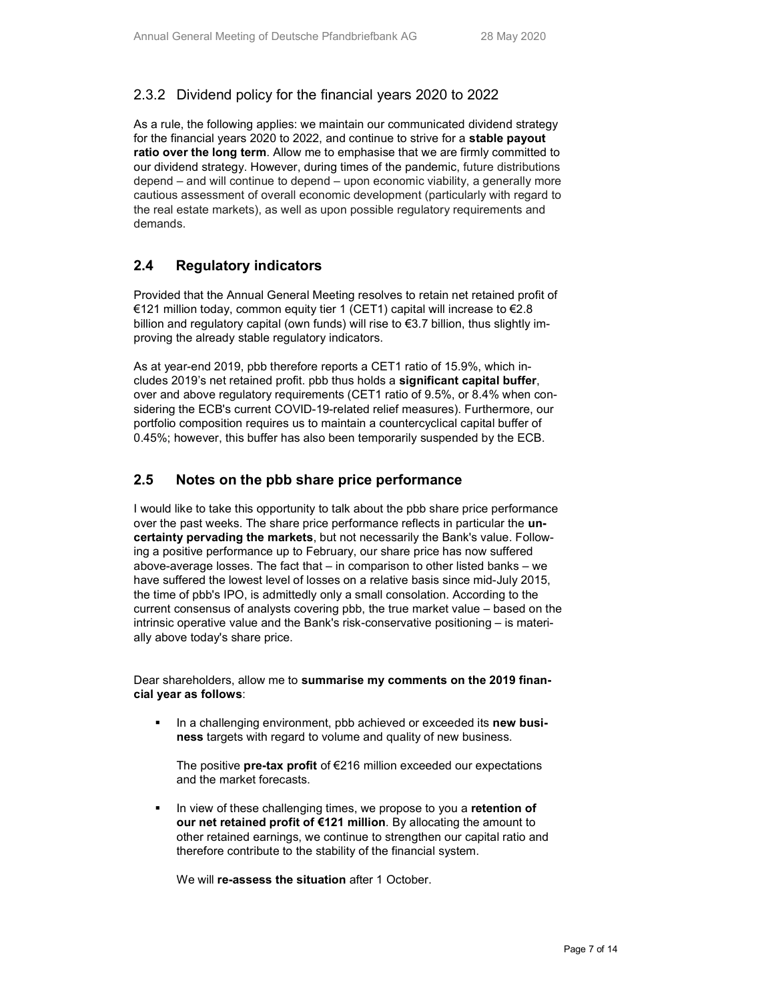## 2.3.2 Dividend policy for the financial years 2020 to 2022

As a rule, the following applies: we maintain our communicated dividend strategy for the financial years 2020 to 2022, and continue to strive for a stable payout ratio over the long term. Allow me to emphasise that we are firmly committed to our dividend strategy. However, during times of the pandemic, future distributions depend – and will continue to depend – upon economic viability, a generally more cautious assessment of overall economic development (particularly with regard to the real estate markets), as well as upon possible regulatory requirements and demands.

### 2.4 Regulatory indicators

Provided that the Annual General Meeting resolves to retain net retained profit of €121 million today, common equity tier 1 (CET1) capital will increase to €2.8 billion and regulatory capital (own funds) will rise to €3.7 billion, thus slightly improving the already stable regulatory indicators.

As at year-end 2019, pbb therefore reports a CET1 ratio of 15.9%, which includes 2019's net retained profit. pbb thus holds a significant capital buffer, over and above regulatory requirements (CET1 ratio of 9.5%, or 8.4% when considering the ECB's current COVID-19-related relief measures). Furthermore, our portfolio composition requires us to maintain a countercyclical capital buffer of 0.45%; however, this buffer has also been temporarily suspended by the ECB.

## 2.5 Notes on the pbb share price performance

I would like to take this opportunity to talk about the pbb share price performance over the past weeks. The share price performance reflects in particular the **un**certainty pervading the markets, but not necessarily the Bank's value. Following a positive performance up to February, our share price has now suffered above-average losses. The fact that – in comparison to other listed banks – we have suffered the lowest level of losses on a relative basis since mid-July 2015, the time of pbb's IPO, is admittedly only a small consolation. According to the current consensus of analysts covering pbb, the true market value – based on the intrinsic operative value and the Bank's risk-conservative positioning – is materially above today's share price.

Dear shareholders, allow me to summarise my comments on the 2019 financial year as follows:

In a challenging environment, pbb achieved or exceeded its new business targets with regard to volume and quality of new business.

The positive pre-tax profit of  $E$ 216 million exceeded our expectations and the market forecasts.

In view of these challenging times, we propose to you a retention of our net retained profit of €121 million. By allocating the amount to other retained earnings, we continue to strengthen our capital ratio and therefore contribute to the stability of the financial system.

We will re-assess the situation after 1 October.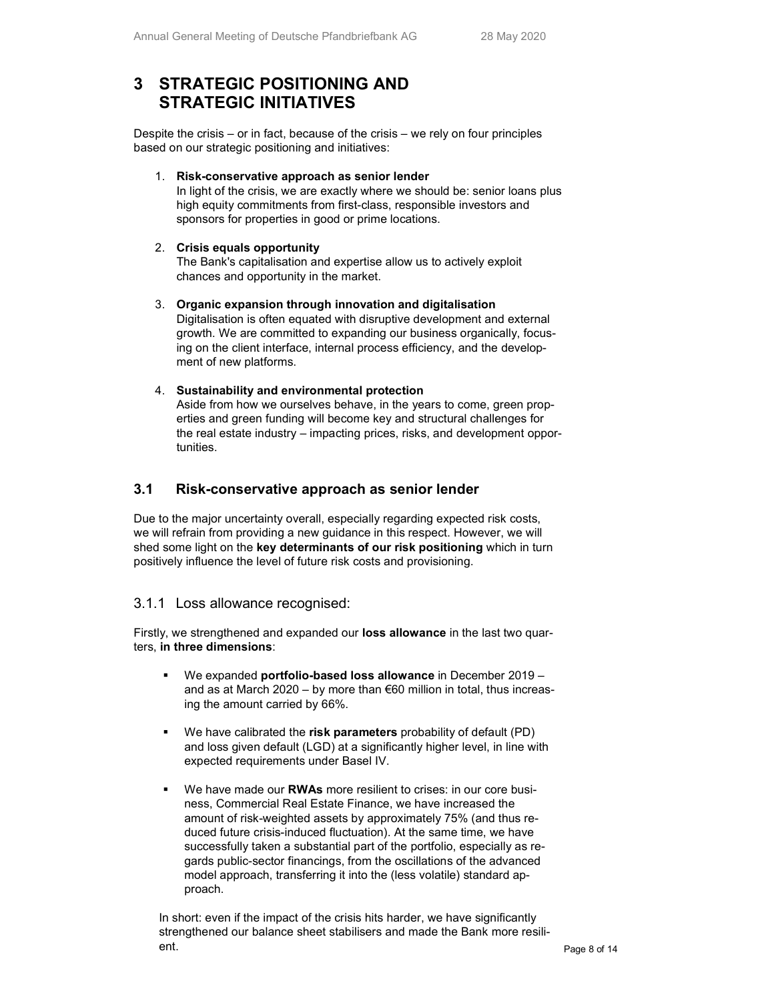# 3 STRATEGIC POSITIONING AND STRATEGIC INITIATIVES

Despite the crisis – or in fact, because of the crisis – we rely on four principles based on our strategic positioning and initiatives:

1. Risk-conservative approach as senior lender

In light of the crisis, we are exactly where we should be: senior loans plus high equity commitments from first-class, responsible investors and sponsors for properties in good or prime locations.

#### 2. Crisis equals opportunity

The Bank's capitalisation and expertise allow us to actively exploit chances and opportunity in the market.

3. Organic expansion through innovation and digitalisation Digitalisation is often equated with disruptive development and external growth. We are committed to expanding our business organically, focusing on the client interface, internal process efficiency, and the development of new platforms.

#### 4. Sustainability and environmental protection

Aside from how we ourselves behave, in the years to come, green properties and green funding will become key and structural challenges for the real estate industry – impacting prices, risks, and development opportunities.

### 3.1 Risk-conservative approach as senior lender

Due to the major uncertainty overall, especially regarding expected risk costs, we will refrain from providing a new guidance in this respect. However, we will shed some light on the key determinants of our risk positioning which in turn positively influence the level of future risk costs and provisioning.

### 3.1.1 Loss allowance recognised:

Firstly, we strengthened and expanded our loss allowance in the last two quarters, in three dimensions:

- We expanded portfolio-based loss allowance in December 2019 and as at March 2020 – by more than €60 million in total, thus increasing the amount carried by 66%.
- We have calibrated the risk parameters probability of default (PD) and loss given default (LGD) at a significantly higher level, in line with expected requirements under Basel IV.
- We have made our **RWAs** more resilient to crises: in our core business, Commercial Real Estate Finance, we have increased the amount of risk-weighted assets by approximately 75% (and thus reduced future crisis-induced fluctuation). At the same time, we have successfully taken a substantial part of the portfolio, especially as regards public-sector financings, from the oscillations of the advanced model approach, transferring it into the (less volatile) standard approach.

In short: even if the impact of the crisis hits harder, we have significantly strengthened our balance sheet stabilisers and made the Bank more resilient.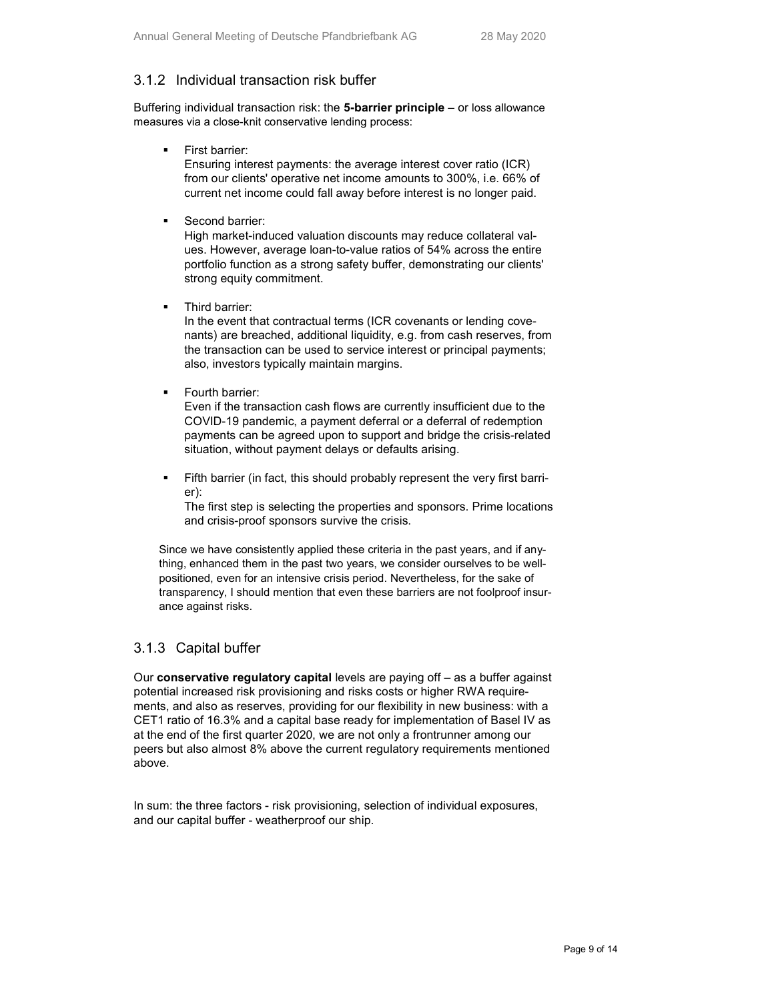## 3.1.2 Individual transaction risk buffer

Buffering individual transaction risk: the  $5$ -barrier principle – or loss allowance measures via a close-knit conservative lending process:

First barrier:

Ensuring interest payments: the average interest cover ratio (ICR) from our clients' operative net income amounts to 300%, i.e. 66% of current net income could fall away before interest is no longer paid.

Second barrier:

High market-induced valuation discounts may reduce collateral values. However, average loan-to-value ratios of 54% across the entire portfolio function as a strong safety buffer, demonstrating our clients' strong equity commitment.

Third barrier:

In the event that contractual terms (ICR covenants or lending covenants) are breached, additional liquidity, e.g. from cash reserves, from the transaction can be used to service interest or principal payments; also, investors typically maintain margins.

Fourth barrier:

Even if the transaction cash flows are currently insufficient due to the COVID-19 pandemic, a payment deferral or a deferral of redemption payments can be agreed upon to support and bridge the crisis-related situation, without payment delays or defaults arising.

 Fifth barrier (in fact, this should probably represent the very first barrier):

The first step is selecting the properties and sponsors. Prime locations and crisis-proof sponsors survive the crisis.

Since we have consistently applied these criteria in the past years, and if anything, enhanced them in the past two years, we consider ourselves to be wellpositioned, even for an intensive crisis period. Nevertheless, for the sake of transparency, I should mention that even these barriers are not foolproof insurance against risks.

## 3.1.3 Capital buffer

Our conservative regulatory capital levels are paying off – as a buffer against potential increased risk provisioning and risks costs or higher RWA requirements, and also as reserves, providing for our flexibility in new business: with a CET1 ratio of 16.3% and a capital base ready for implementation of Basel IV as at the end of the first quarter 2020, we are not only a frontrunner among our peers but also almost 8% above the current regulatory requirements mentioned above.

In sum: the three factors - risk provisioning, selection of individual exposures, and our capital buffer - weatherproof our ship.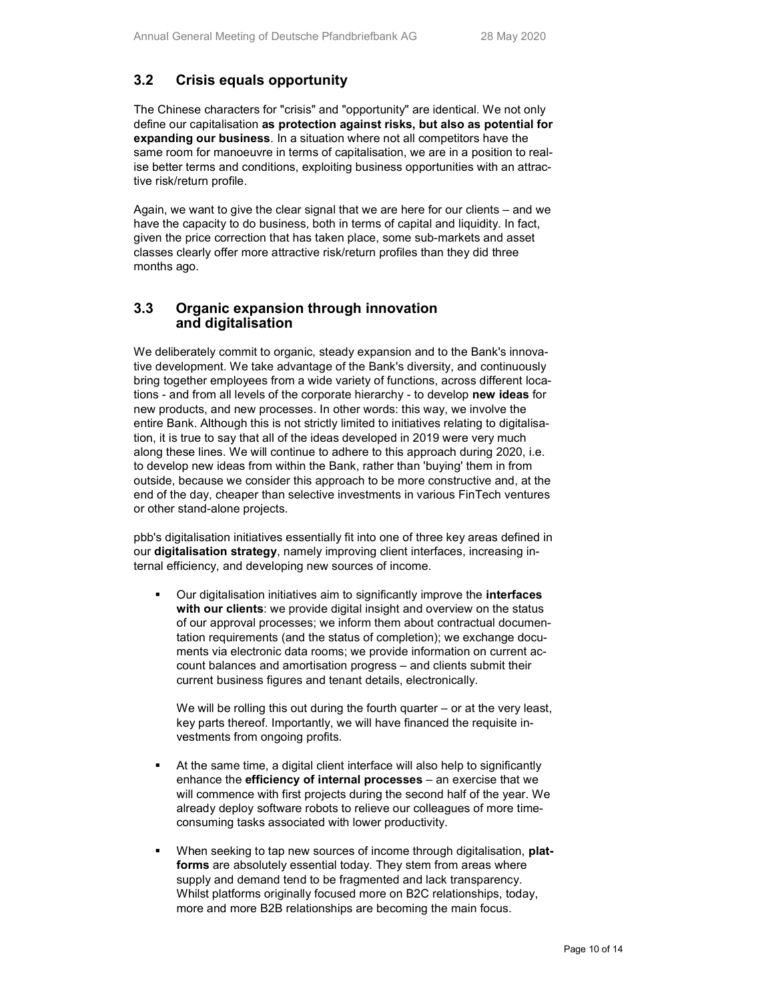## 3.2 Crisis equals opportunity

The Chinese characters for "crisis" and "opportunity" are identical. We not only define our capitalisation as protection against risks, but also as potential for expanding our business. In a situation where not all competitors have the same room for manoeuvre in terms of capitalisation, we are in a position to realise better terms and conditions, exploiting business opportunities with an attractive risk/return profile.

Again, we want to give the clear signal that we are here for our clients – and we have the capacity to do business, both in terms of capital and liquidity. In fact, given the price correction that has taken place, some sub-markets and asset classes clearly offer more attractive risk/return profiles than they did three months ago.

#### 3.3 Organic expansion through innovation and digitalisation

We deliberately commit to organic, steady expansion and to the Bank's innovative development. We take advantage of the Bank's diversity, and continuously bring together employees from a wide variety of functions, across different locations - and from all levels of the corporate hierarchy - to develop new ideas for new products, and new processes. In other words: this way, we involve the entire Bank. Although this is not strictly limited to initiatives relating to digitalisation, it is true to say that all of the ideas developed in 2019 were very much along these lines. We will continue to adhere to this approach during 2020, i.e. to develop new ideas from within the Bank, rather than 'buying' them in from outside, because we consider this approach to be more constructive and, at the end of the day, cheaper than selective investments in various FinTech ventures or other stand-alone projects.

pbb's digitalisation initiatives essentially fit into one of three key areas defined in our digitalisation strategy, namely improving client interfaces, increasing internal efficiency, and developing new sources of income.

• Our digitalisation initiatives aim to significantly improve the **interfaces** with our clients: we provide digital insight and overview on the status of our approval processes; we inform them about contractual documentation requirements (and the status of completion); we exchange documents via electronic data rooms; we provide information on current account balances and amortisation progress – and clients submit their current business figures and tenant details, electronically.

We will be rolling this out during the fourth quarter – or at the very least, key parts thereof. Importantly, we will have financed the requisite investments from ongoing profits.

- At the same time, a digital client interface will also help to significantly enhance the efficiency of internal processes – an exercise that we will commence with first projects during the second half of the year. We already deploy software robots to relieve our colleagues of more timeconsuming tasks associated with lower productivity.
- When seeking to tap new sources of income through digitalisation, platforms are absolutely essential today. They stem from areas where supply and demand tend to be fragmented and lack transparency. Whilst platforms originally focused more on B2C relationships, today, more and more B2B relationships are becoming the main focus.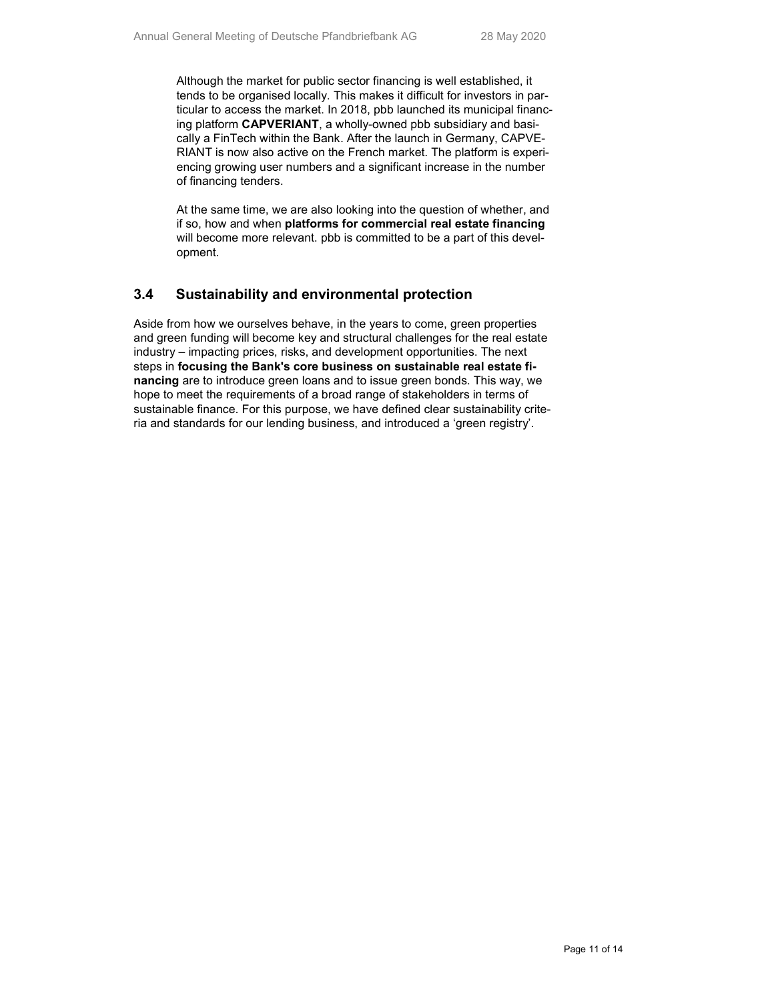Although the market for public sector financing is well established, it tends to be organised locally. This makes it difficult for investors in particular to access the market. In 2018, pbb launched its municipal financing platform CAPVERIANT, a wholly-owned pbb subsidiary and basically a FinTech within the Bank. After the launch in Germany, CAPVE-RIANT is now also active on the French market. The platform is experiencing growing user numbers and a significant increase in the number of financing tenders.

At the same time, we are also looking into the question of whether, and if so, how and when platforms for commercial real estate financing will become more relevant. pbb is committed to be a part of this development.

#### 3.4 Sustainability and environmental protection

Aside from how we ourselves behave, in the years to come, green properties and green funding will become key and structural challenges for the real estate industry – impacting prices, risks, and development opportunities. The next steps in focusing the Bank's core business on sustainable real estate financing are to introduce green loans and to issue green bonds. This way, we hope to meet the requirements of a broad range of stakeholders in terms of sustainable finance. For this purpose, we have defined clear sustainability criteria and standards for our lending business, and introduced a 'green registry'.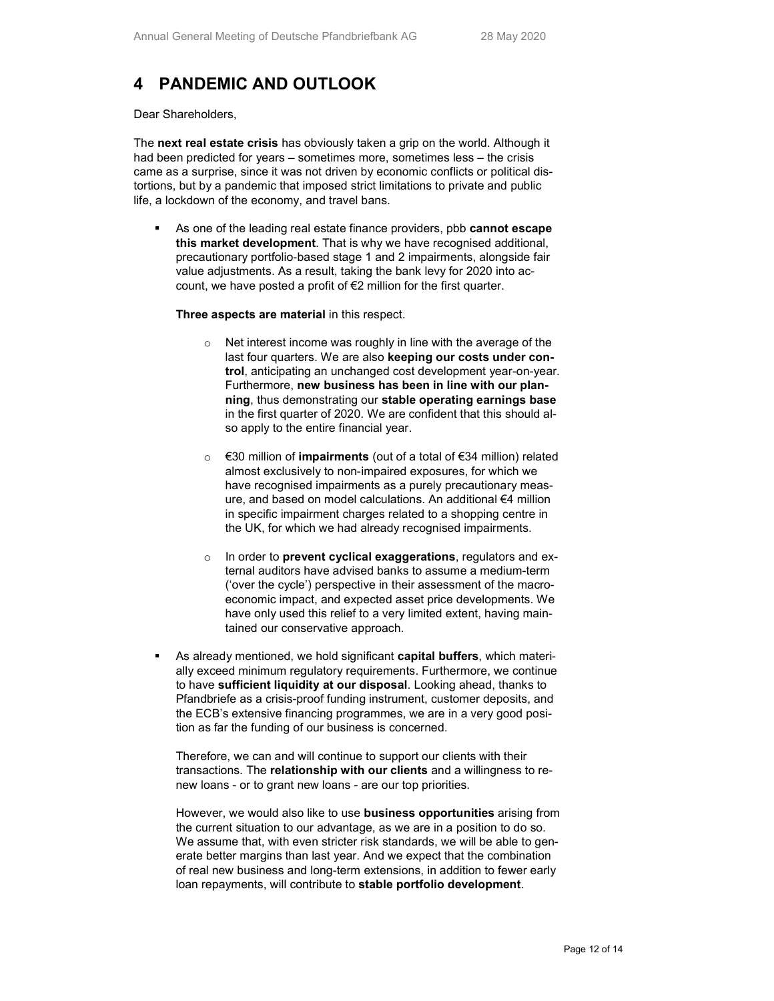# 4 PANDEMIC AND OUTLOOK

Dear Shareholders,

The next real estate crisis has obviously taken a grip on the world. Although it had been predicted for years – sometimes more, sometimes less – the crisis came as a surprise, since it was not driven by economic conflicts or political distortions, but by a pandemic that imposed strict limitations to private and public life, a lockdown of the economy, and travel bans.

As one of the leading real estate finance providers, pbb cannot escape this market development. That is why we have recognised additional, precautionary portfolio-based stage 1 and 2 impairments, alongside fair value adjustments. As a result, taking the bank levy for 2020 into account, we have posted a profit of €2 million for the first quarter.

Three aspects are material in this respect.

- Net interest income was roughly in line with the average of the last four quarters. We are also keeping our costs under control, anticipating an unchanged cost development year-on-year. Furthermore, new business has been in line with our planning, thus demonstrating our stable operating earnings base in the first quarter of 2020. We are confident that this should also apply to the entire financial year.
- o €30 million of impairments (out of a total of €34 million) related almost exclusively to non-impaired exposures, for which we have recognised impairments as a purely precautionary measure, and based on model calculations. An additional €4 million in specific impairment charges related to a shopping centre in the UK, for which we had already recognised impairments.
- $\circ$  In order to prevent cyclical exaggerations, regulators and external auditors have advised banks to assume a medium-term ('over the cycle') perspective in their assessment of the macroeconomic impact, and expected asset price developments. We have only used this relief to a very limited extent, having maintained our conservative approach.
- As already mentioned, we hold significant capital buffers, which materially exceed minimum regulatory requirements. Furthermore, we continue to have sufficient liquidity at our disposal. Looking ahead, thanks to Pfandbriefe as a crisis-proof funding instrument, customer deposits, and the ECB's extensive financing programmes, we are in a very good position as far the funding of our business is concerned.

Therefore, we can and will continue to support our clients with their transactions. The relationship with our clients and a willingness to renew loans - or to grant new loans - are our top priorities.

However, we would also like to use **business opportunities** arising from the current situation to our advantage, as we are in a position to do so. We assume that, with even stricter risk standards, we will be able to generate better margins than last year. And we expect that the combination of real new business and long-term extensions, in addition to fewer early loan repayments, will contribute to stable portfolio development.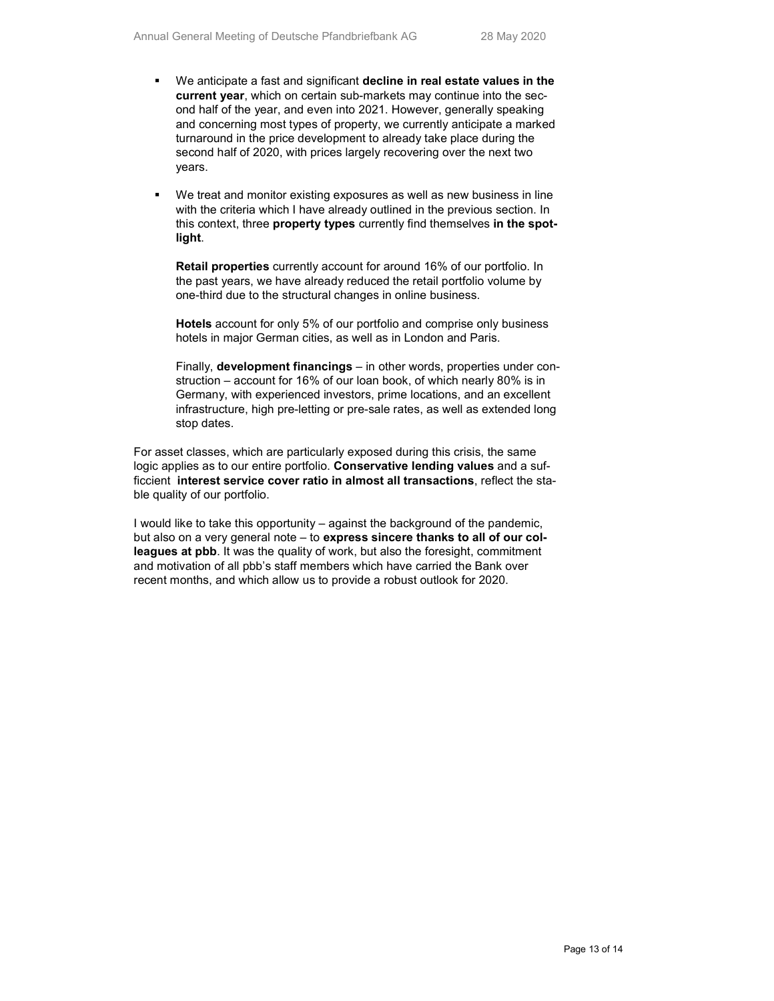- We anticipate a fast and significant decline in real estate values in the current year, which on certain sub-markets may continue into the second half of the year, and even into 2021. However, generally speaking and concerning most types of property, we currently anticipate a marked turnaround in the price development to already take place during the second half of 2020, with prices largely recovering over the next two years.
- We treat and monitor existing exposures as well as new business in line with the criteria which I have already outlined in the previous section. In this context, three property types currently find themselves in the spotlight.

Retail properties currently account for around 16% of our portfolio. In the past years, we have already reduced the retail portfolio volume by one-third due to the structural changes in online business.

Hotels account for only 5% of our portfolio and comprise only business hotels in major German cities, as well as in London and Paris.

Finally, development financings – in other words, properties under construction – account for 16% of our loan book, of which nearly 80% is in Germany, with experienced investors, prime locations, and an excellent infrastructure, high pre-letting or pre-sale rates, as well as extended long stop dates.

For asset classes, which are particularly exposed during this crisis, the same logic applies as to our entire portfolio. Conservative lending values and a sufficcient interest service cover ratio in almost all transactions, reflect the stable quality of our portfolio.

I would like to take this opportunity – against the background of the pandemic, but also on a very general note – to express sincere thanks to all of our colleagues at pbb. It was the quality of work, but also the foresight, commitment and motivation of all pbb's staff members which have carried the Bank over recent months, and which allow us to provide a robust outlook for 2020.